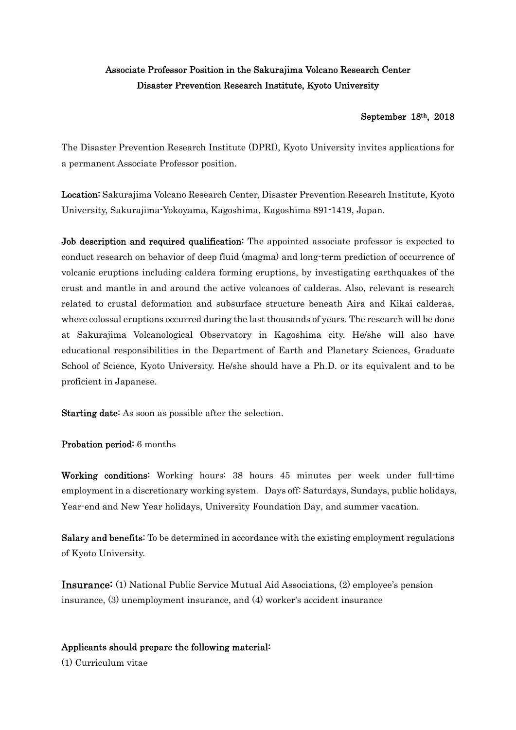## Associate Professor Position in the Sakurajima Volcano Research Center Disaster Prevention Research Institute, Kyoto University

## September 18th, 2018

The Disaster Prevention Research Institute (DPRI), Kyoto University invites applications for a permanent Associate Professor position.

Location: Sakurajima Volcano Research Center, Disaster Prevention Research Institute, Kyoto University, Sakurajima-Yokoyama, Kagoshima, Kagoshima 891-1419, Japan.

Job description and required qualification: The appointed associate professor is expected to conduct research on behavior of deep fluid (magma) and long-term prediction of occurrence of volcanic eruptions including caldera forming eruptions, by investigating earthquakes of the crust and mantle in and around the active volcanoes of calderas. Also, relevant is research related to crustal deformation and subsurface structure beneath Aira and Kikai calderas, where colossal eruptions occurred during the last thousands of years. The research will be done at Sakurajima Volcanological Observatory in Kagoshima city. He/she will also have educational responsibilities in the Department of Earth and Planetary Sciences, Graduate School of Science, Kyoto University. He/she should have a Ph.D. or its equivalent and to be proficient in Japanese.

Starting date: As soon as possible after the selection.

Probation period: 6 months

Working conditions: Working hours: 38 hours 45 minutes per week under full-time employment in a discretionary working system. Days off: Saturdays, Sundays, public holidays, Year-end and New Year holidays, University Foundation Day, and summer vacation.

Salary and benefits: To be determined in accordance with the existing employment regulations of Kyoto University.

Insurance: (1) National Public Service Mutual Aid Associations, (2) employee's pension insurance, (3) unemployment insurance, and (4) worker's accident insurance

## Applicants should prepare the following material:

(1) Curriculum vitae